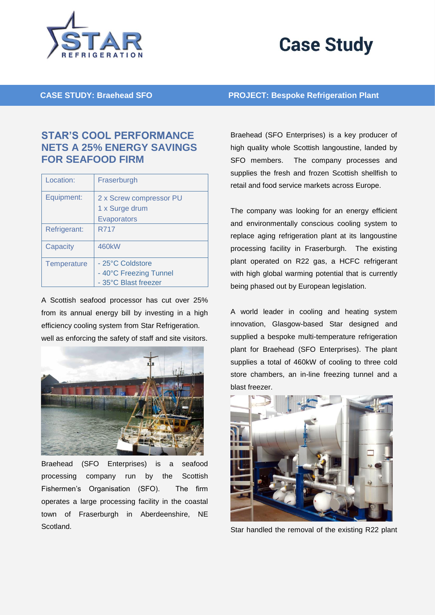

## **Case Study**

**CASE STUDY: Braehead SFO PROJECT: Bespoke Refrigeration Plant**

## **STAR'S COOL PERFORMANCE NETS A 25% ENERGY SAVINGS FOR SEAFOOD FIRM**

| Location:    | Fraserburgh                                                        |
|--------------|--------------------------------------------------------------------|
| Equipment:   | 2 x Screw compressor PU<br>1 x Surge drum<br><b>Evaporators</b>    |
| Refrigerant: | <b>R717</b>                                                        |
| Capacity     | 460 <sub>k</sub> W                                                 |
| Temperature  | - 25°C Coldstore<br>- 40°C Freezing Tunnel<br>- 35°C Blast freezer |

A Scottish seafood processor has cut over 25% from its annual energy bill by investing in a high efficiency cooling system from Star Refrigeration. well as enforcing the safety of staff and site visitors.



Braehead (SFO Enterprises) is a seafood processing company run by the Scottish Fishermen's Organisation (SFO). The firm operates a large processing facility in the coastal town of Fraserburgh in Aberdeenshire, NE Scotland.

Braehead (SFO Enterprises) is a key producer of high quality whole Scottish langoustine, landed by SFO members. The company processes and supplies the fresh and frozen Scottish shellfish to retail and food service markets across Europe.

The company was looking for an energy efficient and environmentally conscious cooling system to replace aging refrigeration plant at its langoustine processing facility in Fraserburgh. The existing plant operated on R22 gas, a HCFC refrigerant with high global warming potential that is currently being phased out by European legislation.

A world leader in cooling and heating system innovation, Glasgow-based Star designed and supplied a bespoke multi-temperature refrigeration plant for Braehead (SFO Enterprises). The plant supplies a total of 460kW of cooling to three cold store chambers, an in-line freezing tunnel and a blast freezer.



Star handled the removal of the existing R22 plant